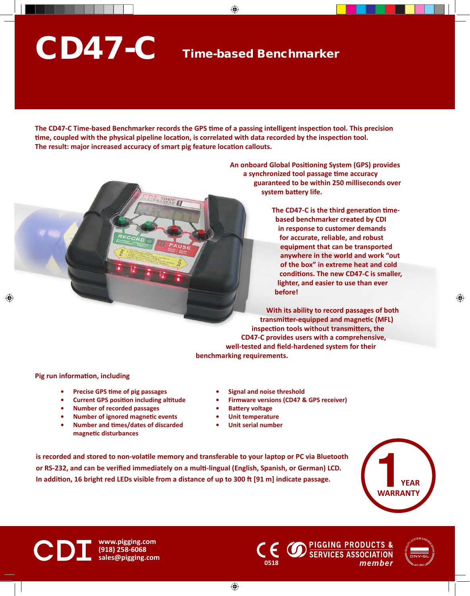## CD47-C

## Time-based Benchmarker

**The CD47-C Time-based Benchmarker records the GPS time of a passing intelligent inspection tool. This precision time, coupled with the physical pipeline location, is correlated with data recorded by the inspection tool. The result: major increased accuracy of smart pig feature location callouts.**

> **An onboard Global Positioning System (GPS) provides a synchronized tool passage time accuracy guaranteed to be within 250 milliseconds over system battery life.**

> > **The CD47-C is the third generation timebased benchmarker created by CDI in response to customer demands for accurate, reliable, and robust equipment that can be transported anywhere in the world and work "out of the box" in extreme heat and cold conditions. The new CD47-C is smaller, lighter, and easier to use than ever before!**

**With its ability to record passages of both transmitter-equipped and magnetic (MFL) inspection tools without transmitters, the CD47-C provides users with a comprehensive, well-tested and field-hardened system for their benchmarking requirements.**

## **Pig run information, including**

- **• Precise GPS time of pig passages**
- **• Current GPS position including altitude**
- **• Number of recorded passages**
- **• Number of ignored magnetic events**
- **• Number and times/dates of discarded magnetic disturbances**
- **• Signal and noise threshold**
- **• Firmware versions (CD47 & GPS receiver)**
- **• Battery voltage**
- **• Unit temperature**
- **• Unit serial number**

**is recorded and stored to non-volatile memory and transferable to your laptop or PC via Bluetooth or RS-232, and can be verified immediately on a multi-lingual (English, Spanish, or German) LCD. In addition, 16 bright red LEDs visible from a distance of up to 300 ft [91 m] indicate passage.**





**www.pigging.com (918) 258-6068 sales@pigging.com <sup>0518</sup>**